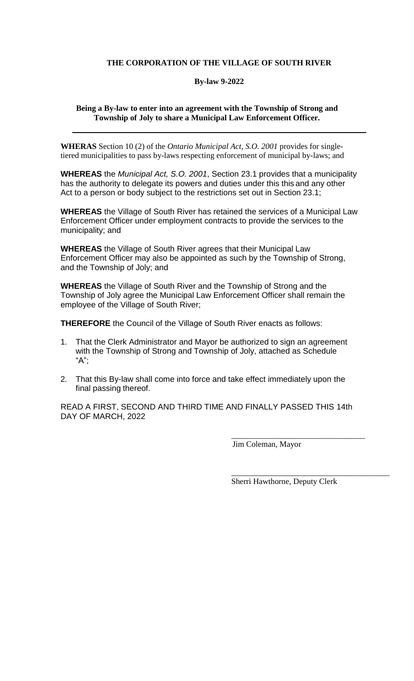## **THE CORPORATION OF THE VILLAGE OF SOUTH RIVER**

### **By-law 9-2022**

### **Being a By-law to enter into an agreement with the Township of Strong and Township of Joly to share a Municipal Law Enforcement Officer.**

**WHERAS** Section 10 (2) of the *Ontario Municipal Act, S.O. 2001* provides for singletiered municipalities to pass by-laws respecting enforcement of municipal by-laws; and

**WHEREAS** the *Municipal Act, S.O. 2001*, Section 23.1 provides that a municipality has the authority to delegate its powers and duties under this this and any other Act to a person or body subject to the restrictions set out in Section 23.1;

**WHEREAS** the Village of South River has retained the services of a Municipal Law Enforcement Officer under employment contracts to provide the services to the municipality; and

**WHEREAS** the Village of South River agrees that their Municipal Law Enforcement Officer may also be appointed as such by the Township of Strong, and the Township of Joly; and

**WHEREAS** the Village of South River and the Township of Strong and the Township of Joly agree the Municipal Law Enforcement Officer shall remain the employee of the Village of South River;

**THEREFORE** the Council of the Village of South River enacts as follows:

- 1. That the Clerk Administrator and Mayor be authorized to sign an agreement with the Township of Strong and Township of Joly, attached as Schedule "A";
- 2. That this By-law shall come into force and take effect immediately upon the final passing thereof.

READ A FIRST, SECOND AND THIRD TIME AND FINALLY PASSED THIS 14th DAY OF MARCH, 2022

Jim Coleman, Mayor

Sherri Hawthorne, Deputy Clerk

\_\_\_\_\_\_\_\_\_\_\_\_\_\_\_\_\_\_\_\_\_\_\_\_\_\_\_\_\_\_\_\_\_

\_\_\_\_\_\_\_\_\_\_\_\_\_\_\_\_\_\_\_\_\_\_\_\_\_\_\_\_\_\_\_\_\_\_\_\_\_\_\_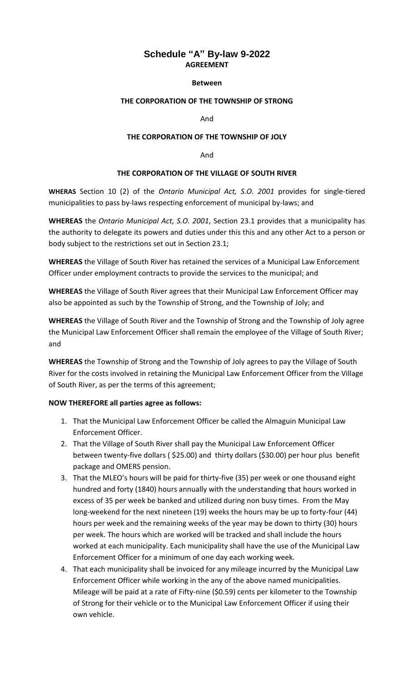# **Schedule "A" By-law 9-2022 AGREEMENT**

#### **Between**

### **THE CORPORATION OF THE TOWNSHIP OF STRONG**

And

#### **THE CORPORATION OF THE TOWNSHIP OF JOLY**

And

#### **THE CORPORATION OF THE VILLAGE OF SOUTH RIVER**

**WHERAS** Section 10 (2) of the *Ontario Municipal Act, S.O. 2001* provides for single-tiered municipalities to pass by-laws respecting enforcement of municipal by-laws; and

**WHEREAS** the *Ontario Municipal Act, S.O. 2001*, Section 23.1 provides that a municipality has the authority to delegate its powers and duties under this this and any other Act to a person or body subject to the restrictions set out in Section 23.1;

**WHEREAS** the Village of South River has retained the services of a Municipal Law Enforcement Officer under employment contracts to provide the services to the municipal; and

**WHEREAS** the Village of South River agrees that their Municipal Law Enforcement Officer may also be appointed as such by the Township of Strong, and the Township of Joly; and

**WHEREAS** the Village of South River and the Township of Strong and the Township of Joly agree the Municipal Law Enforcement Officer shall remain the employee of the Village of South River; and

**WHEREAS** the Township of Strong and the Township of Joly agrees to pay the Village of South River for the costs involved in retaining the Municipal Law Enforcement Officer from the Village of South River, as per the terms of this agreement;

#### **NOW THEREFORE all parties agree as follows:**

- 1. That the Municipal Law Enforcement Officer be called the Almaguin Municipal Law Enforcement Officer.
- 2. That the Village of South River shall pay the Municipal Law Enforcement Officer between twenty-five dollars ( \$25.00) and thirty dollars (\$30.00) per hour plus benefit package and OMERS pension.
- 3. That the MLEO's hours will be paid for thirty-five (35) per week or one thousand eight hundred and forty (1840) hours annually with the understanding that hours worked in excess of 35 per week be banked and utilized during non busy times. From the May long-weekend for the next nineteen (19) weeks the hours may be up to forty-four (44) hours per week and the remaining weeks of the year may be down to thirty (30) hours per week. The hours which are worked will be tracked and shall include the hours worked at each municipality. Each municipality shall have the use of the Municipal Law Enforcement Officer for a minimum of one day each working week.
- 4. That each municipality shall be invoiced for any mileage incurred by the Municipal Law Enforcement Officer while working in the any of the above named municipalities. Mileage will be paid at a rate of Fifty-nine (\$0.59) cents per kilometer to the Township of Strong for their vehicle or to the Municipal Law Enforcement Officer if using their own vehicle.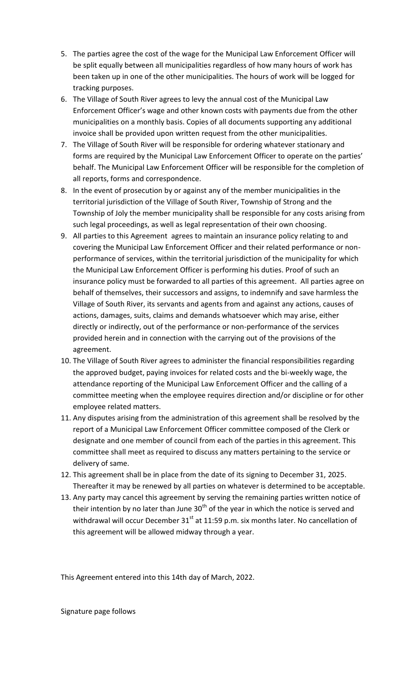- 5. The parties agree the cost of the wage for the Municipal Law Enforcement Officer will be split equally between all municipalities regardless of how many hours of work has been taken up in one of the other municipalities. The hours of work will be logged for tracking purposes.
- 6. The Village of South River agrees to levy the annual cost of the Municipal Law Enforcement Officer's wage and other known costs with payments due from the other municipalities on a monthly basis. Copies of all documents supporting any additional invoice shall be provided upon written request from the other municipalities.
- 7. The Village of South River will be responsible for ordering whatever stationary and forms are required by the Municipal Law Enforcement Officer to operate on the parties' behalf. The Municipal Law Enforcement Officer will be responsible for the completion of all reports, forms and correspondence.
- 8. In the event of prosecution by or against any of the member municipalities in the territorial jurisdiction of the Village of South River, Township of Strong and the Township of Joly the member municipality shall be responsible for any costs arising from such legal proceedings, as well as legal representation of their own choosing.
- 9. All parties to this Agreement agrees to maintain an insurance policy relating to and covering the Municipal Law Enforcement Officer and their related performance or nonperformance of services, within the territorial jurisdiction of the municipality for which the Municipal Law Enforcement Officer is performing his duties. Proof of such an insurance policy must be forwarded to all parties of this agreement. All parties agree on behalf of themselves, their successors and assigns, to indemnify and save harmless the Village of South River, its servants and agents from and against any actions, causes of actions, damages, suits, claims and demands whatsoever which may arise, either directly or indirectly, out of the performance or non-performance of the services provided herein and in connection with the carrying out of the provisions of the agreement.
- 10. The Village of South River agrees to administer the financial responsibilities regarding the approved budget, paying invoices for related costs and the bi-weekly wage, the attendance reporting of the Municipal Law Enforcement Officer and the calling of a committee meeting when the employee requires direction and/or discipline or for other employee related matters.
- 11. Any disputes arising from the administration of this agreement shall be resolved by the report of a Municipal Law Enforcement Officer committee composed of the Clerk or designate and one member of council from each of the parties in this agreement. This committee shall meet as required to discuss any matters pertaining to the service or delivery of same.
- 12. This agreement shall be in place from the date of its signing to December 31, 2025. Thereafter it may be renewed by all parties on whatever is determined to be acceptable.
- 13. Any party may cancel this agreement by serving the remaining parties written notice of their intention by no later than June  $30<sup>th</sup>$  of the year in which the notice is served and withdrawal will occur December  $31<sup>st</sup>$  at 11:59 p.m. six months later. No cancellation of this agreement will be allowed midway through a year.

This Agreement entered into this 14th day of March, 2022.

Signature page follows